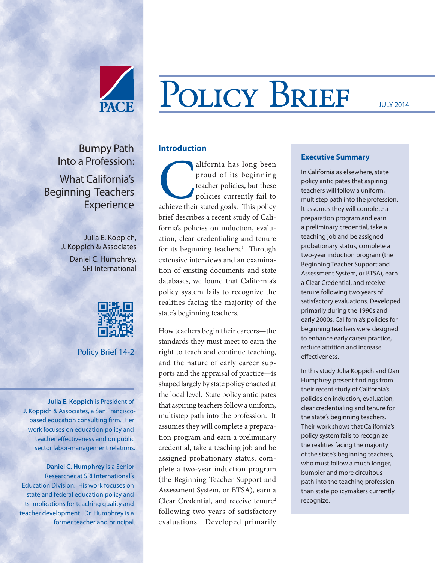

# **POLICY BRIEF**

JULY 2014

Bumpy Path Into a Profession: What California's Beginning Teachers **Experience** 

> Julia E. Koppich, J. Koppich & Associates Daniel C. Humphrey, SRI International



Policy Brief 14-2

**Julia E. Koppich** is President of J. Koppich & Associates, a San Franciscobased education consulting firm. Her work focuses on education policy and teacher effectiveness and on public sector labor-management relations.

**Daniel C. Humphrey** is a Senior Researcher at SRI International's Education Division. His work focuses on state and federal education policy and its implications for teaching quality and teacher development. Dr. Humphrey is a former teacher and principal.

## **Introduction**

alifornia has long been<br>
proud of its beginning<br>
teacher policies, but these<br>
policies currently fail to<br>
achieve their stated goals. This policy proud of its beginning teacher policies, but these policies currently fail to brief describes a recent study of California's policies on induction, evaluation, clear credentialing and tenure for its beginning teachers.<sup>1</sup> Through extensive interviews and an examination of existing documents and state databases, we found that California's policy system fails to recognize the realities facing the majority of the state's beginning teachers.

How teachers begin their careers—the standards they must meet to earn the right to teach and continue teaching, and the nature of early career supports and the appraisal of practice—is shaped largely by state policy enacted at the local level. State policy anticipates that aspiring teachers follow a uniform, multistep path into the profession. It assumes they will complete a preparation program and earn a preliminary credential, take a teaching job and be assigned probationary status, complete a two-year induction program (the Beginning Teacher Support and Assessment System, or BTSA), earn a Clear Credential, and receive tenure<sup>2</sup> following two years of satisfactory evaluations. Developed primarily

#### **Executive Summary**

In California as elsewhere, state policy anticipates that aspiring teachers will follow a uniform, multistep path into the profession. It assumes they will complete a preparation program and earn a preliminary credential, take a teaching job and be assigned probationary status, complete a two-year induction program (the Beginning Teacher Support and Assessment System, or BTSA), earn a Clear Credential, and receive tenure following two years of satisfactory evaluations. Developed primarily during the 1990s and early 2000s, California's policies for beginning teachers were designed to enhance early career practice, reduce attrition and increase effectiveness.

In this study Julia Koppich and Dan Humphrey present findings from their recent study of California's policies on induction, evaluation, clear credentialing and tenure for the state's beginning teachers. Their work shows that California's policy system fails to recognize the realities facing the majority of the state's beginning teachers, who must follow a much longer, bumpier and more circuitous path into the teaching profession than state policymakers currently recognize.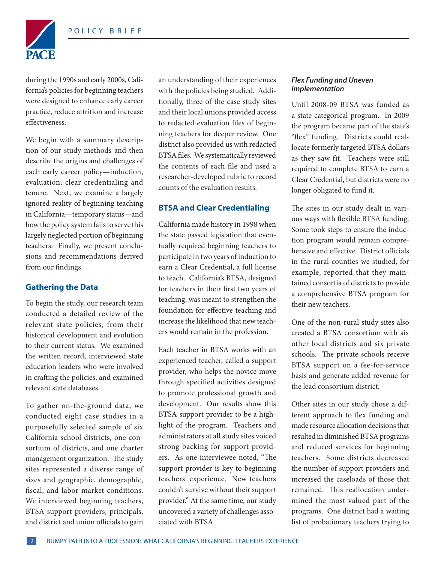

during the 1990s and early 2000s, California's policies for beginning teachers were designed to enhance early career practice, reduce attrition and increase effectiveness.

We begin with a summary description of our study methods and then describe the origins and challenges of each early career policy—induction, evaluation, clear credentialing and tenure. Next, we examine a largely ignored reality of beginning teaching in California—temporary status—and how the policy system fails to serve this largely neglected portion of beginning teachers. Finally, we present conclusions and recommendations derived from our findings.

## **Gathering the Data**

To begin the study, our research team conducted a detailed review of the relevant state policies, from their historical development and evolution to their current status. We examined the written record, interviewed state education leaders who were involved in crafting the policies, and examined relevant state databases.

To gather on-the-ground data, we conducted eight case studies in a purposefully selected sample of six California school districts, one consortium of districts, and one charter management organization. The study sites represented a diverse range of sizes and geographic, demographic, fiscal, and labor market conditions. We interviewed beginning teachers, BTSA support providers, principals, and district and union officials to gain

an understanding of their experiences with the policies being studied. Additionally, three of the case study sites and their local unions provided access to redacted evaluation files of beginning teachers for deeper review. One district also provided us with redacted BTSA files. We systematically reviewed the contents of each file and used a researcher-developed rubric to record counts of the evaluation results.

# **BTSA and Clear Credentialing**

California made history in 1998 when the state passed legislation that eventually required beginning teachers to participate in two years of induction to earn a Clear Credential, a full license to teach. California's BTSA, designed for teachers in their first two years of teaching, was meant to strengthen the foundation for effective teaching and increase the likelihood that new teachers would remain in the profession.

Each teacher in BTSA works with an experienced teacher, called a support provider, who helps the novice move through specified activities designed to promote professional growth and development. Our results show this BTSA support provider to be a highlight of the program. Teachers and administrators at all study sites voiced strong backing for support providers. As one interviewee noted, "The support provider is key to beginning teachers' experience. New teachers couldn't survive without their support provider." At the same time, our study uncovered a variety of challenges associated with BTSA.

## *Flex Funding and Uneven Implementation*

Until 2008-09 BTSA was funded as a state categorical program. In 2009 the program became part of the state's "flex" funding. Districts could reallocate formerly targeted BTSA dollars as they saw fit. Teachers were still required to complete BTSA to earn a Clear Credential, but districts were no longer obligated to fund it.

The sites in our study dealt in various ways with flexible BTSA funding. Some took steps to ensure the induction program would remain comprehensive and effective. District officials in the rural counties we studied, for example, reported that they maintained consortia of districts to provide a comprehensive BTSA program for their new teachers.

One of the non-rural study sites also created a BTSA consortium with six other local districts and six private schools. The private schools receive BTSA support on a fee-for-service basis and generate added revenue for the lead consortium district.

Other sites in our study chose a different approach to flex funding and made resource allocation decisions that resulted in diminished BTSA programs and reduced services for beginning teachers. Some districts decreased the number of support providers and increased the caseloads of those that remained. This reallocation undermined the most valued part of the programs. One district had a waiting list of probationary teachers trying to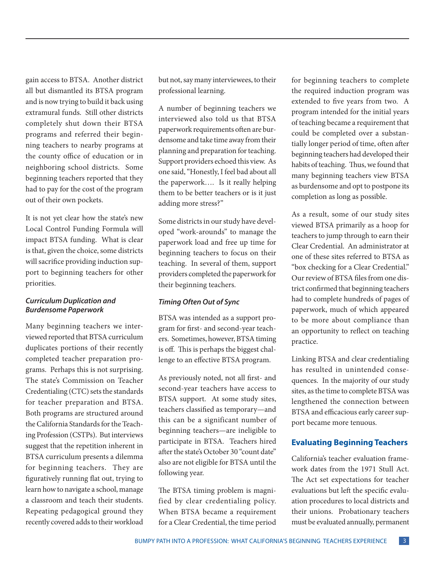gain access to BTSA. Another district all but dismantled its BTSA program and is now trying to build it back using extramural funds. Still other districts completely shut down their BTSA programs and referred their beginning teachers to nearby programs at the county office of education or in neighboring school districts. Some beginning teachers reported that they had to pay for the cost of the program out of their own pockets.

It is not yet clear how the state's new Local Control Funding Formula will impact BTSA funding. What is clear is that, given the choice, some districts will sacrifice providing induction support to beginning teachers for other priorities.

## *Curriculum Duplication and Burdensome Paperwork*

Many beginning teachers we interviewed reported that BTSA curriculum duplicates portions of their recently completed teacher preparation programs. Perhaps this is not surprising. The state's Commission on Teacher Credentialing (CTC) sets the standards for teacher preparation and BTSA. Both programs are structured around the California Standards for the Teaching Profession (CSTPs). But interviews suggest that the repetition inherent in BTSA curriculum presents a dilemma for beginning teachers. They are figuratively running flat out, trying to learn how to navigate a school, manage a classroom and teach their students. Repeating pedagogical ground they recently covered adds to their workload

but not, say many interviewees, to their professional learning.

A number of beginning teachers we interviewed also told us that BTSA paperwork requirements often are burdensome and take time away from their planning and preparation for teaching. Support providers echoed this view. As one said, "Honestly, I feel bad about all the paperwork…. Is it really helping them to be better teachers or is it just adding more stress?"

Some districts in our study have developed "work-arounds" to manage the paperwork load and free up time for beginning teachers to focus on their teaching. In several of them, support providers completed the paperwork for their beginning teachers.

## *Timing Often Out of Sync*

BTSA was intended as a support program for first- and second-year teachers. Sometimes, however, BTSA timing is off. This is perhaps the biggest challenge to an effective BTSA program.

As previously noted, not all first- and second-year teachers have access to BTSA support. At some study sites, teachers classified as temporary—and this can be a significant number of beginning teachers—are ineligible to participate in BTSA. Teachers hired after the state's October 30 "count date" also are not eligible for BTSA until the following year.

The BTSA timing problem is magnified by clear credentialing policy. When BTSA became a requirement for a Clear Credential, the time period

for beginning teachers to complete the required induction program was extended to five years from two. A program intended for the initial years of teaching became a requirement that could be completed over a substantially longer period of time, often after beginning teachers had developed their habits of teaching. Thus, we found that many beginning teachers view BTSA as burdensome and opt to postpone its completion as long as possible.

As a result, some of our study sites viewed BTSA primarily as a hoop for teachers to jump through to earn their Clear Credential. An administrator at one of these sites referred to BTSA as "box checking for a Clear Credential." Our review of BTSA files from one district confirmed that beginning teachers had to complete hundreds of pages of paperwork, much of which appeared to be more about compliance than an opportunity to reflect on teaching practice.

Linking BTSA and clear credentialing has resulted in unintended consequences. In the majority of our study sites, as the time to complete BTSA was lengthened the connection between BTSA and efficacious early career support became more tenuous.

# **Evaluating Beginning Teachers**

California's teacher evaluation framework dates from the 1971 Stull Act. The Act set expectations for teacher evaluations but left the specific evaluation procedures to local districts and their unions. Probationary teachers must be evaluated annually, permanent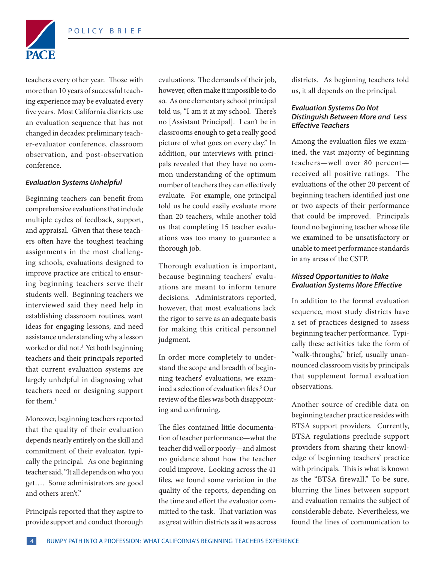

teachers every other year. Those with more than 10 years of successful teaching experience may be evaluated every five years. Most California districts use an evaluation sequence that has not changed in decades: preliminary teacher-evaluator conference, classroom observation, and post-observation conference.

## *Evaluation Systems Unhelpful*

Beginning teachers can benefit from comprehensive evaluations that include multiple cycles of feedback, support, and appraisal. Given that these teachers often have the toughest teaching assignments in the most challenging schools, evaluations designed to improve practice are critical to ensuring beginning teachers serve their students well. Beginning teachers we interviewed said they need help in establishing classroom routines, want ideas for engaging lessons, and need assistance understanding why a lesson worked or did not.3 Yet both beginning teachers and their principals reported that current evaluation systems are largely unhelpful in diagnosing what teachers need or designing support for them.4

Moreover, beginning teachers reported that the quality of their evaluation depends nearly entirely on the skill and commitment of their evaluator, typically the principal. As one beginning teacher said, "It all depends on who you get…. Some administrators are good and others aren't."

Principals reported that they aspire to provide support and conduct thorough

evaluations. The demands of their job, however, often make it impossible to do so. As one elementary school principal told us, "I am it at my school. There's no [Assistant Principal]. I can't be in classrooms enough to get a really good picture of what goes on every day." In addition, our interviews with principals revealed that they have no common understanding of the optimum number of teachers they can effectively evaluate. For example, one principal told us he could easily evaluate more than 20 teachers, while another told us that completing 15 teacher evaluations was too many to guarantee a thorough job.

Thorough evaluation is important, because beginning teachers' evaluations are meant to inform tenure decisions. Administrators reported, however, that most evaluations lack the rigor to serve as an adequate basis for making this critical personnel judgment.

In order more completely to understand the scope and breadth of beginning teachers' evaluations, we examined a selection of evaluation files.5 Our review of the files was both disappointing and confirming.

The files contained little documentation of teacher performance—what the teacher did well or poorly—and almost no guidance about how the teacher could improve. Looking across the 41 files, we found some variation in the quality of the reports, depending on the time and effort the evaluator committed to the task. That variation was as great within districts as it was across districts. As beginning teachers told us, it all depends on the principal.

## *Evaluation Systems Do Not Distinguish Between More and Less Effective Teachers*

Among the evaluation files we examined, the vast majority of beginning teachers—well over 80 percent received all positive ratings. The evaluations of the other 20 percent of beginning teachers identified just one or two aspects of their performance that could be improved. Principals found no beginning teacher whose file we examined to be unsatisfactory or unable to meet performance standards in any areas of the CSTP.

## *Missed Opportunities to Make Evaluation Systems More Effective*

In addition to the formal evaluation sequence, most study districts have a set of practices designed to assess beginning teacher performance. Typically these activities take the form of "walk-throughs," brief, usually unannounced classroom visits by principals that supplement formal evaluation observations.

Another source of credible data on beginning teacher practice resides with BTSA support providers. Currently, BTSA regulations preclude support providers from sharing their knowledge of beginning teachers' practice with principals. This is what is known as the "BTSA firewall." To be sure, blurring the lines between support and evaluation remains the subject of considerable debate. Nevertheless, we found the lines of communication to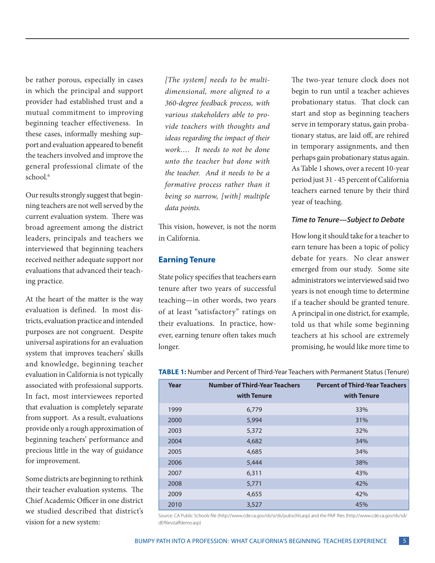be rather porous, especially in cases in which the principal and support provider had established trust and a mutual commitment to improving beginning teacher effectiveness. In these cases, informally meshing support and evaluation appeared to benefit the teachers involved and improve the general professional climate of the school.<sup>6</sup>

Our results strongly suggest that beginning teachers are not well served by the current evaluation system. There was broad agreement among the district leaders, principals and teachers we interviewed that beginning teachers received neither adequate support nor evaluations that advanced their teaching practice.

At the heart of the matter is the way evaluation is defined. In most districts, evaluation practice and intended purposes are not congruent. Despite universal aspirations for an evaluation system that improves teachers' skills and knowledge, beginning teacher evaluation in California is not typically associated with professional supports. In fact, most interviewees reported that evaluation is completely separate from support. As a result, evaluations provide only a rough approximation of beginning teachers' performance and precious little in the way of guidance for improvement.

Some districts are beginning to rethink their teacher evaluation systems. The Chief Academic Officer in one district we studied described that district's vision for a new system:

*[The system] needs to be multidimensional, more aligned to a 360-degree feedback process, with various stakeholders able to provide teachers with thoughts and ideas regarding the impact of their work…. It needs to not be done unto the teacher but done with the teacher. And it needs to be a formative process rather than it being so narrow, [with] multiple data points.*

This vision, however, is not the norm in California.

## **Earning Tenure**

State policy specifies that teachers earn tenure after two years of successful teaching—in other words, two years of at least "satisfactory" ratings on their evaluations. In practice, however, earning tenure often takes much longer.

The two-year tenure clock does not begin to run until a teacher achieves probationary status. That clock can start and stop as beginning teachers serve in temporary status, gain probationary status, are laid off, are rehired in temporary assignments, and then perhaps gain probationary status again. As Table 1 shows, over a recent 10-year period just 31 - 45 percent of California teachers earned tenure by their third year of teaching.

#### *Time to Tenure—Subject to Debate*

How long it should take for a teacher to earn tenure has been a topic of policy debate for years. No clear answer emerged from our study. Some site administrators we interviewed said two years is not enough time to determine if a teacher should be granted tenure. A principal in one district, for example, told us that while some beginning teachers at his school are extremely promising, he would like more time to

**Table 1:** Number and Percent of Third-Year Teachers with Permanent Status (Tenure)

| Year | <b>Number of Third-Year Teachers</b> | <b>Percent of Third-Year Teachers</b> |
|------|--------------------------------------|---------------------------------------|
|      | with Tenure                          | with Tenure                           |
| 1999 | 6,779                                | 33%                                   |
| 2000 | 5,994                                | 31%                                   |
| 2003 | 5,372                                | 32%                                   |
| 2004 | 4,682                                | 34%                                   |
| 2005 | 4,685                                | 34%                                   |
| 2006 | 5,444                                | 38%                                   |
| 2007 | 6,311                                | 43%                                   |
| 2008 | 5,771                                | 42%                                   |
| 2009 | 4,655                                | 42%                                   |
| 2010 | 3,527                                | 45%                                   |

Source: CA Public Schools file [\(http://www.cde.ca.gov/ds/si/ds/pubschls.asp\)](http://www.cde.ca.gov/ds/si/ds/pubschls.asp) and the PAIF files ([http://www.cde.ca.gov/ds/sd/](http://www.cde.ca.gov/ds/sd/df/filesstaffdemo.asp) [df/filesstaffdemo.asp](http://www.cde.ca.gov/ds/sd/df/filesstaffdemo.asp))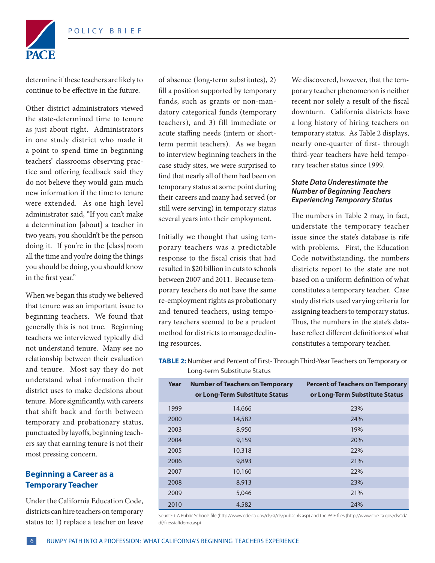

determine if these teachers are likely to continue to be effective in the future.

Other district administrators viewed the state-determined time to tenure as just about right. Administrators in one study district who made it a point to spend time in beginning teachers' classrooms observing practice and offering feedback said they do not believe they would gain much new information if the time to tenure were extended. As one high level administrator said, "If you can't make a determination [about] a teacher in two years, you shouldn't be the person doing it. If you're in the [class]room all the time and you're doing the things you should be doing, you should know in the first year."

When we began this study we believed that tenure was an important issue to beginning teachers. We found that generally this is not true. Beginning teachers we interviewed typically did not understand tenure. Many see no relationship between their evaluation and tenure. Most say they do not understand what information their district uses to make decisions about tenure. More significantly, with careers that shift back and forth between temporary and probationary status, punctuated by layoffs, beginning teachers say that earning tenure is not their most pressing concern.

# **Beginning a Career as a Temporary Teacher**

Under the California Education Code, districts can hire teachers on temporary status to: 1) replace a teacher on leave

of absence (long-term substitutes), 2) fill a position supported by temporary funds, such as grants or non-mandatory categorical funds (temporary teachers), and 3) fill immediate or acute staffing needs (intern or shortterm permit teachers). As we began to interview beginning teachers in the case study sites, we were surprised to find that nearly all of them had been on temporary status at some point during their careers and many had served (or still were serving) in temporary status several years into their employment.

Initially we thought that using temporary teachers was a predictable response to the fiscal crisis that had resulted in \$20 billion in cuts to schools between 2007 and 2011. Because temporary teachers do not have the same re-employment rights as probationary and tenured teachers, using temporary teachers seemed to be a prudent method for districts to manage declining resources.

We discovered, however, that the temporary teacher phenomenon is neither recent nor solely a result of the fiscal downturn. California districts have a long history of hiring teachers on temporary status. As Table 2 displays, nearly one-quarter of first- through third-year teachers have held temporary teacher status since 1999.

## *State Data Underestimate the Number of Beginning Teachers Experiencing Temporary Status*

The numbers in Table 2 may, in fact, understate the temporary teacher issue since the state's database is rife with problems. First, the Education Code notwithstanding, the numbers districts report to the state are not based on a uniform definition of what constitutes a temporary teacher. Case study districts used varying criteria for assigning teachers to temporary status. Thus, the numbers in the state's database reflect different definitions of what constitutes a temporary teacher.

**Table 2:** Number and Percent of First- Through Third-Year Teachers on Temporary or Long-term Substitute Status

| Year | <b>Number of Teachers on Temporary</b><br>or Long-Term Substitute Status | <b>Percent of Teachers on Temporary</b><br>or Long-Term Substitute Status |
|------|--------------------------------------------------------------------------|---------------------------------------------------------------------------|
| 1999 | 14,666                                                                   | 23%                                                                       |
| 2000 | 14,582                                                                   | 24%                                                                       |
| 2003 | 8,950                                                                    | 19%                                                                       |
| 2004 | 9,159                                                                    | 20%                                                                       |
| 2005 | 10,318                                                                   | 22%                                                                       |
| 2006 | 9,893                                                                    | 21%                                                                       |
| 2007 | 10,160                                                                   | 22%                                                                       |
| 2008 | 8,913                                                                    | 23%                                                                       |
| 2009 | 5,046                                                                    | 21%                                                                       |
| 2010 | 4,582                                                                    | 24%                                                                       |

Source: CA Public Schools file [\(http://www.cde.ca.gov/ds/si/ds/pubschls.asp\)](http://www.cde.ca.gov/ds/si/ds/pubschls.asp) and the PAIF files ([http://www.cde.ca.gov/ds/sd/](http://www.cde.ca.gov/ds/sd/df/filesstaffdemo.asp) [df/filesstaffdemo.asp](http://www.cde.ca.gov/ds/sd/df/filesstaffdemo.asp))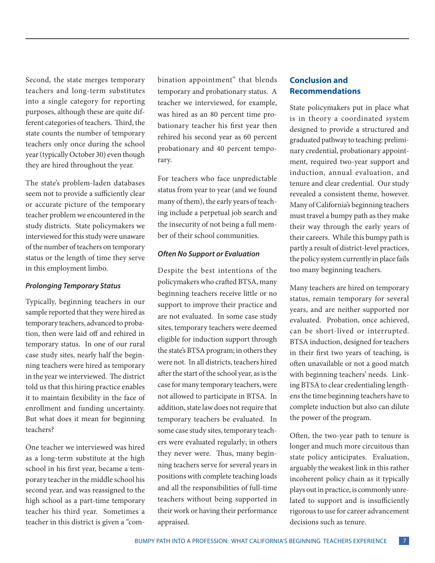Second, the state merges temporary teachers and long-term substitutes into a single category for reporting purposes, although these are quite different categories of teachers. Third, the state counts the number of temporary teachers only once during the school year (typically October 30) even though they are hired throughout the year.

The state's problem-laden databases seem not to provide a sufficiently clear or accurate picture of the temporary teacher problem we encountered in the study districts. State policymakers we interviewed for this study were unaware of the number of teachers on temporary status or the length of time they serve in this employment limbo.

## *Prolonging Temporary Status*

Typically, beginning teachers in our sample reported that they were hired as temporary teachers, advanced to probation, then were laid off and rehired in temporary status. In one of our rural case study sites, nearly half the beginning teachers were hired as temporary in the year we interviewed. The district told us that this hiring practice enables it to maintain flexibility in the face of enrollment and funding uncertainty. But what does it mean for beginning teachers?

One teacher we interviewed was hired as a long-term substitute at the high school in his first year, became a temporary teacher in the middle school his second year, and was reassigned to the high school as a part-time temporary teacher his third year. Sometimes a teacher in this district is given a "combination appointment" that blends temporary and probationary status. A teacher we interviewed, for example, was hired as an 80 percent time probationary teacher his first year then rehired his second year as 60 percent probationary and 40 percent temporary.

For teachers who face unpredictable status from year to year (and we found many of them), the early years of teaching include a perpetual job search and the insecurity of not being a full member of their school communities.

## *Often No Support or Evaluation*

Despite the best intentions of the policymakers who crafted BTSA, many beginning teachers receive little or no support to improve their practice and are not evaluated. In some case study sites, temporary teachers were deemed eligible for induction support through the state's BTSA program; in others they were not. In all districts, teachers hired after the start of the school year, as is the case for many temporary teachers, were not allowed to participate in BTSA. In addition, state law does not require that temporary teachers be evaluated. In some case study sites, temporary teachers were evaluated regularly; in others they never were. Thus, many beginning teachers serve for several years in positions with complete teaching loads and all the responsibilities of full-time teachers without being supported in their work or having their performance appraised.

# **Conclusion and Recommendations**

State policymakers put in place what is in theory a coordinated system designed to provide a structured and graduated pathway to teaching: preliminary credential, probationary appointment, required two-year support and induction, annual evaluation, and tenure and clear credential. Our study revealed a consistent theme, however. Many of California's beginning teachers must travel a bumpy path as they make their way through the early years of their careers. While this bumpy path is partly a result of district-level practices, the policy system currently in place fails too many beginning teachers.

Many teachers are hired on temporary status, remain temporary for several years, and are neither supported nor evaluated. Probation, once achieved, can be short-lived or interrupted. BTSA induction, designed for teachers in their first two years of teaching, is often unavailable or not a good match with beginning teachers' needs. Linking BTSA to clear credentialing lengthens the time beginning teachers have to complete induction but also can dilute the power of the program.

Often, the two-year path to tenure is longer and much more circuitous than state policy anticipates. Evaluation, arguably the weakest link in this rather incoherent policy chain as it typically plays out in practice, is commonly unrelated to support and is insufficiently rigorous to use for career advancement decisions such as tenure.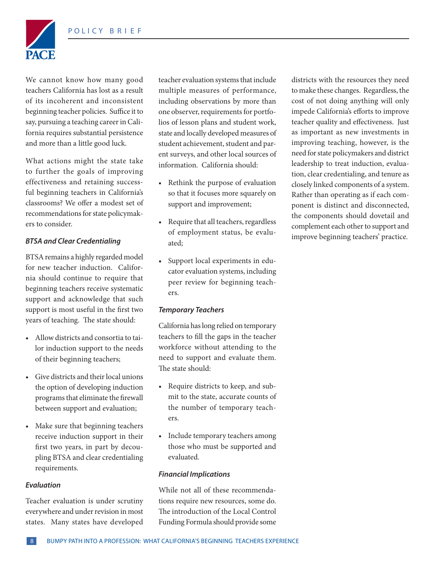

We cannot know how many good teachers California has lost as a result of its incoherent and inconsistent beginning teacher policies. Suffice it to say, pursuing a teaching career in California requires substantial persistence and more than a little good luck.

What actions might the state take to further the goals of improving effectiveness and retaining successful beginning teachers in California's classrooms? We offer a modest set of recommendations for state policymakers to consider.

## *BTSA and Clear Credentialing*

BTSA remains a highly regarded model for new teacher induction. California should continue to require that beginning teachers receive systematic support and acknowledge that such support is most useful in the first two years of teaching. The state should:

- Allow districts and consortia to tailor induction support to the needs of their beginning teachers;
- Give districts and their local unions the option of developing induction programs that eliminate the firewall between support and evaluation;
- Make sure that beginning teachers receive induction support in their first two years, in part by decoupling BTSA and clear credentialing requirements.

## *Evaluation*

Teacher evaluation is under scrutiny everywhere and under revision in most states. Many states have developed

teacher evaluation systems that include multiple measures of performance, including observations by more than one observer, requirements for portfolios of lesson plans and student work, state and locally developed measures of student achievement, student and parent surveys, and other local sources of information. California should:

- • Rethink the purpose of evaluation so that it focuses more squarely on support and improvement;
- Require that all teachers, regardless of employment status, be evaluated;
- Support local experiments in educator evaluation systems, including peer review for beginning teachers.

## *Temporary Teachers*

California has long relied on temporary teachers to fill the gaps in the teacher workforce without attending to the need to support and evaluate them. The state should:

- • Require districts to keep, and submit to the state, accurate counts of the number of temporary teachers.
- Include temporary teachers among those who must be supported and evaluated.

## *Financial Implications*

While not all of these recommendations require new resources, some do. The introduction of the Local Control Funding Formula should provide some districts with the resources they need to make these changes. Regardless, the cost of not doing anything will only impede California's efforts to improve teacher quality and effectiveness. Just as important as new investments in improving teaching, however, is the need for state policymakers and district leadership to treat induction, evaluation, clear credentialing, and tenure as closely linked components of a system. Rather than operating as if each component is distinct and disconnected, the components should dovetail and complement each other to support and improve beginning teachers' practice.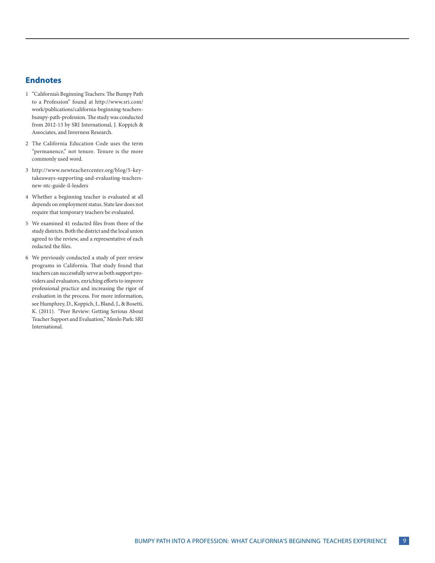## **Endnotes**

- 1 "California's Beginning Teachers: The Bumpy Path to a Profession" found at [http://www.sri.com/](http://www.sri.com/work/publications/california-beginning-teachers-bumpy-path-profession) [work/publications/california-beginning-teachers](http://www.sri.com/work/publications/california-beginning-teachers-bumpy-path-profession)[bumpy-path-profession.](http://www.sri.com/work/publications/california-beginning-teachers-bumpy-path-profession) The study was conducted from 2012-13 by SRI International, J. Koppich & Associates, and Inverness Research.
- 2 The California Education Code uses the term "permanence," not tenure. Tenure is the more commonly used word.
- 3 http://www.newteachercenter.org/blog/5-keytakeaways-supporting-and-evaluating-teachersnew-ntc-guide-il-leaders
- 4 Whether a beginning teacher is evaluated at all depends on employment status. State law does not require that temporary teachers be evaluated.
- 5 We examined 41 redacted files from three of the study districts. Both the district and the local union agreed to the review, and a representative of each redacted the files.
- 6 We previously conducted a study of peer review programs in California. That study found that teachers can successfully serve as both support providers and evaluators, enriching efforts to improve professional practice and increasing the rigor of evaluation in the process. For more information, see Humphrey, D., Koppich, J., Bland, J., & Bosetti, K. (2011). "Peer Review: Getting Serious About Teacher Support and Evaluation," Menlo Park: SRI International.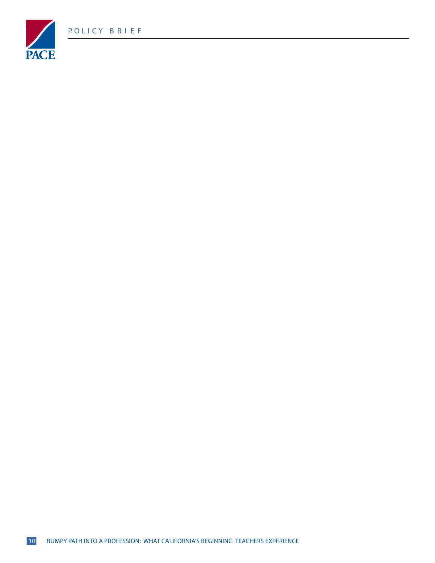